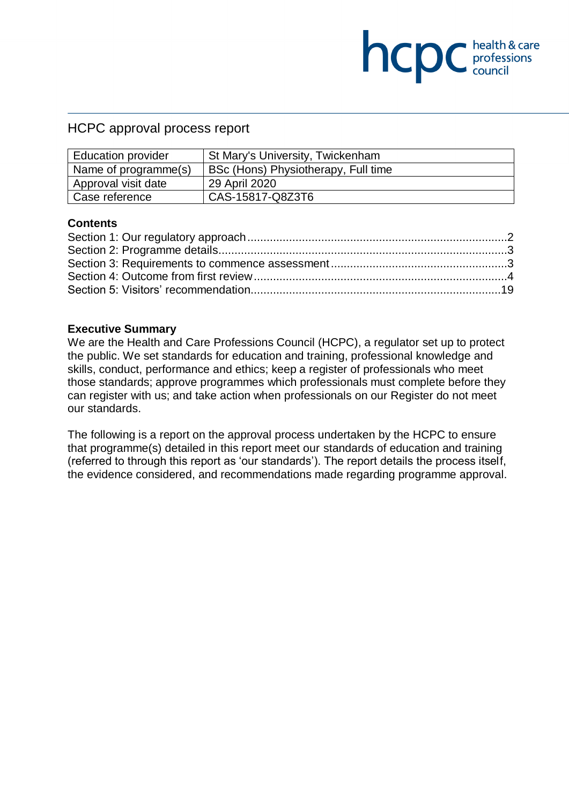## HCPC approval process report

| <b>Education provider</b> | St Mary's University, Twickenham    |
|---------------------------|-------------------------------------|
| Name of programme(s)      | BSc (Hons) Physiotherapy, Full time |
| Approval visit date       | 29 April 2020                       |
| Case reference            | CAS-15817-Q8Z3T6                    |

**NCDC** health & care

### **Contents**

#### **Executive Summary**

We are the Health and Care Professions Council (HCPC), a regulator set up to protect the public. We set standards for education and training, professional knowledge and skills, conduct, performance and ethics; keep a register of professionals who meet those standards; approve programmes which professionals must complete before they can register with us; and take action when professionals on our Register do not meet our standards.

The following is a report on the approval process undertaken by the HCPC to ensure that programme(s) detailed in this report meet our standards of education and training (referred to through this report as 'our standards'). The report details the process itself, the evidence considered, and recommendations made regarding programme approval.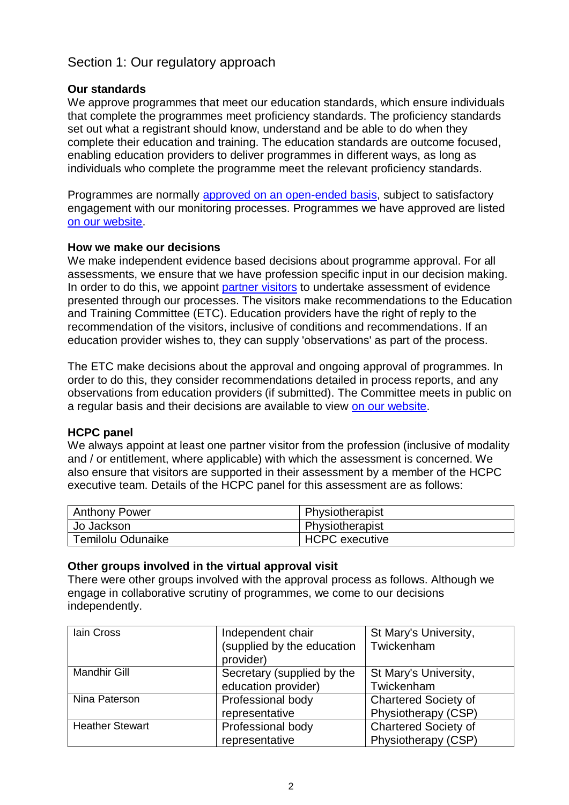# <span id="page-1-0"></span>Section 1: Our regulatory approach

## **Our standards**

We approve programmes that meet our education standards, which ensure individuals that complete the programmes meet proficiency standards. The proficiency standards set out what a registrant should know, understand and be able to do when they complete their education and training. The education standards are outcome focused, enabling education providers to deliver programmes in different ways, as long as individuals who complete the programme meet the relevant proficiency standards.

Programmes are normally [approved on an open-ended basis,](http://www.hcpc-uk.org/education/processes/) subject to satisfactory engagement with our monitoring processes. Programmes we have approved are listed [on our website.](http://www.hcpc-uk.org/education/programmes/register/)

## **How we make our decisions**

We make independent evidence based decisions about programme approval. For all assessments, we ensure that we have profession specific input in our decision making. In order to do this, we appoint [partner visitors](http://www.hcpc-uk.org/aboutus/partners/) to undertake assessment of evidence presented through our processes. The visitors make recommendations to the Education and Training Committee (ETC). Education providers have the right of reply to the recommendation of the visitors, inclusive of conditions and recommendations. If an education provider wishes to, they can supply 'observations' as part of the process.

The ETC make decisions about the approval and ongoing approval of programmes. In order to do this, they consider recommendations detailed in process reports, and any observations from education providers (if submitted). The Committee meets in public on a regular basis and their decisions are available to view [on our website.](http://www.hcpc-uk.org/aboutus/committees/educationandtrainingpanel/)

### **HCPC panel**

We always appoint at least one partner visitor from the profession (inclusive of modality and / or entitlement, where applicable) with which the assessment is concerned. We also ensure that visitors are supported in their assessment by a member of the HCPC executive team. Details of the HCPC panel for this assessment are as follows:

| <b>Anthony Power</b> | Physiotherapist |
|----------------------|-----------------|
| Jo Jackson           | Physiotherapist |
| Temilolu Odunaike    | HCPC executive  |

## **Other groups involved in the virtual approval visit**

There were other groups involved with the approval process as follows. Although we engage in collaborative scrutiny of programmes, we come to our decisions independently.

| lain Cross             | Independent chair          | St Mary's University,       |
|------------------------|----------------------------|-----------------------------|
|                        | (supplied by the education | Twickenham                  |
|                        | provider)                  |                             |
| <b>Mandhir Gill</b>    | Secretary (supplied by the | St Mary's University,       |
|                        | education provider)        | Twickenham                  |
| Nina Paterson          | Professional body          | <b>Chartered Society of</b> |
|                        | representative             | Physiotherapy (CSP)         |
| <b>Heather Stewart</b> | Professional body          | <b>Chartered Society of</b> |
|                        | representative             | Physiotherapy (CSP)         |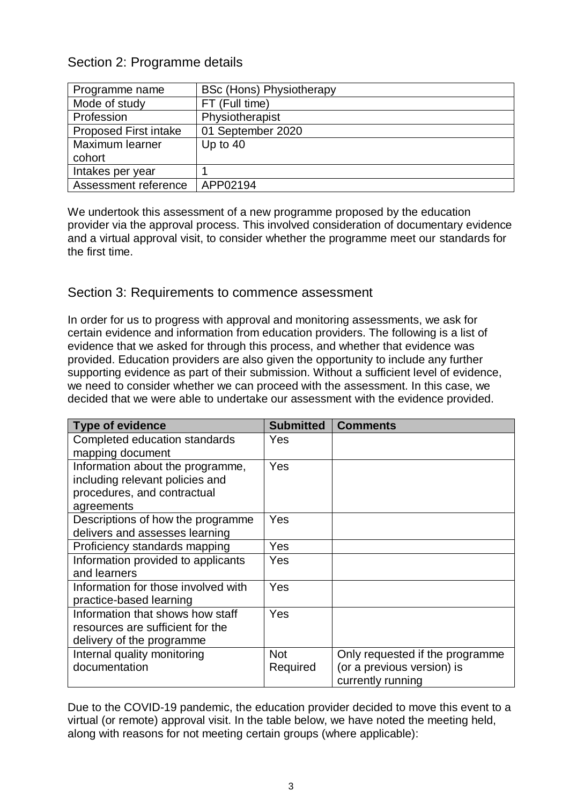# <span id="page-2-0"></span>Section 2: Programme details

| Programme name               | <b>BSc (Hons) Physiotherapy</b> |
|------------------------------|---------------------------------|
| Mode of study                | FT (Full time)                  |
| Profession                   | Physiotherapist                 |
| <b>Proposed First intake</b> | 01 September 2020               |
| Maximum learner              | Up to $40$                      |
| cohort                       |                                 |
| Intakes per year             |                                 |
| Assessment reference         | APP02194                        |

We undertook this assessment of a new programme proposed by the education provider via the approval process. This involved consideration of documentary evidence and a virtual approval visit, to consider whether the programme meet our standards for the first time.

## <span id="page-2-1"></span>Section 3: Requirements to commence assessment

In order for us to progress with approval and monitoring assessments, we ask for certain evidence and information from education providers. The following is a list of evidence that we asked for through this process, and whether that evidence was provided. Education providers are also given the opportunity to include any further supporting evidence as part of their submission. Without a sufficient level of evidence, we need to consider whether we can proceed with the assessment. In this case, we decided that we were able to undertake our assessment with the evidence provided.

| <b>Type of evidence</b>             | <b>Submitted</b> | <b>Comments</b>                 |
|-------------------------------------|------------------|---------------------------------|
| Completed education standards       | Yes              |                                 |
| mapping document                    |                  |                                 |
| Information about the programme,    | Yes              |                                 |
| including relevant policies and     |                  |                                 |
| procedures, and contractual         |                  |                                 |
| agreements                          |                  |                                 |
| Descriptions of how the programme   | Yes              |                                 |
| delivers and assesses learning      |                  |                                 |
| Proficiency standards mapping       | Yes              |                                 |
| Information provided to applicants  | Yes              |                                 |
| and learners                        |                  |                                 |
| Information for those involved with | Yes              |                                 |
| practice-based learning             |                  |                                 |
| Information that shows how staff    | Yes              |                                 |
| resources are sufficient for the    |                  |                                 |
| delivery of the programme           |                  |                                 |
| Internal quality monitoring         | <b>Not</b>       | Only requested if the programme |
| documentation                       | Required         | (or a previous version) is      |
|                                     |                  | currently running               |

Due to the COVID-19 pandemic, the education provider decided to move this event to a virtual (or remote) approval visit. In the table below, we have noted the meeting held, along with reasons for not meeting certain groups (where applicable):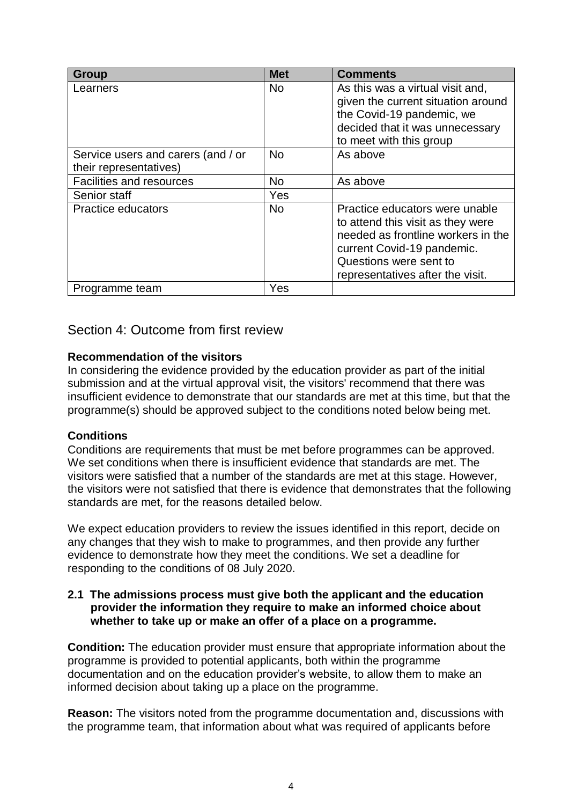| Group                                                        | <b>Met</b> | <b>Comments</b>                                                                                                                                                                                       |
|--------------------------------------------------------------|------------|-------------------------------------------------------------------------------------------------------------------------------------------------------------------------------------------------------|
| Learners                                                     | <b>No</b>  | As this was a virtual visit and,<br>given the current situation around<br>the Covid-19 pandemic, we<br>decided that it was unnecessary<br>to meet with this group                                     |
| Service users and carers (and / or<br>their representatives) | <b>No</b>  | As above                                                                                                                                                                                              |
| <b>Facilities and resources</b>                              | <b>No</b>  | As above                                                                                                                                                                                              |
| Senior staff                                                 | Yes        |                                                                                                                                                                                                       |
| <b>Practice educators</b>                                    | <b>No</b>  | Practice educators were unable<br>to attend this visit as they were<br>needed as frontline workers in the<br>current Covid-19 pandemic.<br>Questions were sent to<br>representatives after the visit. |
| Programme team                                               | Yes        |                                                                                                                                                                                                       |

## <span id="page-3-0"></span>Section 4: Outcome from first review

### **Recommendation of the visitors**

In considering the evidence provided by the education provider as part of the initial submission and at the virtual approval visit, the visitors' recommend that there was insufficient evidence to demonstrate that our standards are met at this time, but that the programme(s) should be approved subject to the conditions noted below being met.

### **Conditions**

Conditions are requirements that must be met before programmes can be approved. We set conditions when there is insufficient evidence that standards are met. The visitors were satisfied that a number of the standards are met at this stage. However, the visitors were not satisfied that there is evidence that demonstrates that the following standards are met, for the reasons detailed below.

We expect education providers to review the issues identified in this report, decide on any changes that they wish to make to programmes, and then provide any further evidence to demonstrate how they meet the conditions. We set a deadline for responding to the conditions of 08 July 2020.

#### **2.1 The admissions process must give both the applicant and the education provider the information they require to make an informed choice about whether to take up or make an offer of a place on a programme.**

**Condition:** The education provider must ensure that appropriate information about the programme is provided to potential applicants, both within the programme documentation and on the education provider's website, to allow them to make an informed decision about taking up a place on the programme.

**Reason:** The visitors noted from the programme documentation and, discussions with the programme team, that information about what was required of applicants before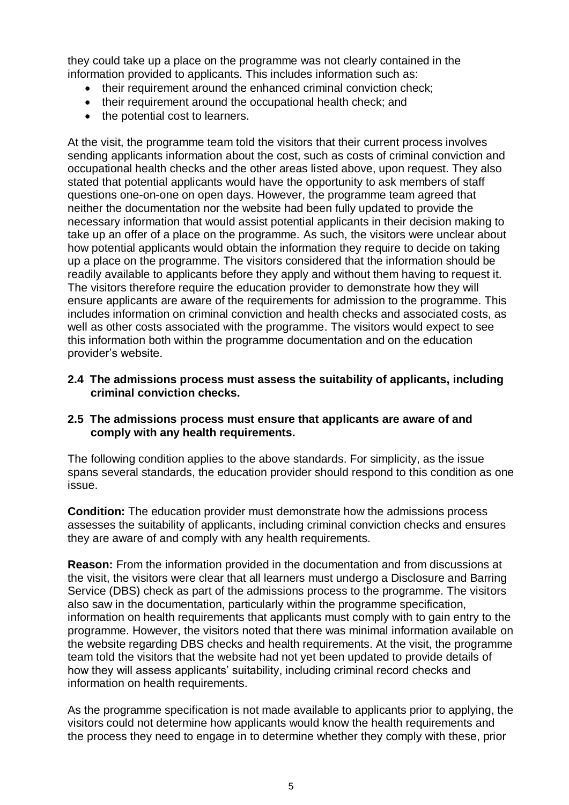they could take up a place on the programme was not clearly contained in the information provided to applicants. This includes information such as:

- their requirement around the enhanced criminal conviction check;
- their requirement around the occupational health check; and
- the potential cost to learners.

At the visit, the programme team told the visitors that their current process involves sending applicants information about the cost, such as costs of criminal conviction and occupational health checks and the other areas listed above, upon request. They also stated that potential applicants would have the opportunity to ask members of staff questions one-on-one on open days. However, the programme team agreed that neither the documentation nor the website had been fully updated to provide the necessary information that would assist potential applicants in their decision making to take up an offer of a place on the programme. As such, the visitors were unclear about how potential applicants would obtain the information they require to decide on taking up a place on the programme. The visitors considered that the information should be readily available to applicants before they apply and without them having to request it. The visitors therefore require the education provider to demonstrate how they will ensure applicants are aware of the requirements for admission to the programme. This includes information on criminal conviction and health checks and associated costs, as well as other costs associated with the programme. The visitors would expect to see this information both within the programme documentation and on the education provider's website.

**2.4 The admissions process must assess the suitability of applicants, including criminal conviction checks.**

### **2.5 The admissions process must ensure that applicants are aware of and comply with any health requirements.**

The following condition applies to the above standards. For simplicity, as the issue spans several standards, the education provider should respond to this condition as one issue.

**Condition:** The education provider must demonstrate how the admissions process assesses the suitability of applicants, including criminal conviction checks and ensures they are aware of and comply with any health requirements.

**Reason:** From the information provided in the documentation and from discussions at the visit, the visitors were clear that all learners must undergo a Disclosure and Barring Service (DBS) check as part of the admissions process to the programme. The visitors also saw in the documentation, particularly within the programme specification, information on health requirements that applicants must comply with to gain entry to the programme. However, the visitors noted that there was minimal information available on the website regarding DBS checks and health requirements. At the visit, the programme team told the visitors that the website had not yet been updated to provide details of how they will assess applicants' suitability, including criminal record checks and information on health requirements.

As the programme specification is not made available to applicants prior to applying, the visitors could not determine how applicants would know the health requirements and the process they need to engage in to determine whether they comply with these, prior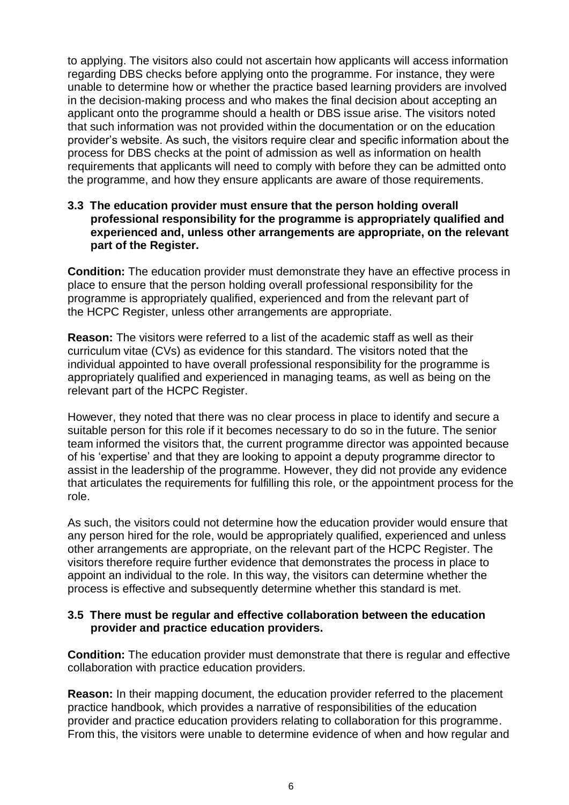to applying. The visitors also could not ascertain how applicants will access information regarding DBS checks before applying onto the programme. For instance, they were unable to determine how or whether the practice based learning providers are involved in the decision-making process and who makes the final decision about accepting an applicant onto the programme should a health or DBS issue arise. The visitors noted that such information was not provided within the documentation or on the education provider's website. As such, the visitors require clear and specific information about the process for DBS checks at the point of admission as well as information on health requirements that applicants will need to comply with before they can be admitted onto the programme, and how they ensure applicants are aware of those requirements.

### **3.3 The education provider must ensure that the person holding overall professional responsibility for the programme is appropriately qualified and experienced and, unless other arrangements are appropriate, on the relevant part of the Register.**

**Condition:** The education provider must demonstrate they have an effective process in place to ensure that the person holding overall professional responsibility for the programme is appropriately qualified, experienced and from the relevant part of the HCPC Register, unless other arrangements are appropriate.

**Reason:** The visitors were referred to a list of the academic staff as well as their curriculum vitae (CVs) as evidence for this standard. The visitors noted that the individual appointed to have overall professional responsibility for the programme is appropriately qualified and experienced in managing teams, as well as being on the relevant part of the HCPC Register.

However, they noted that there was no clear process in place to identify and secure a suitable person for this role if it becomes necessary to do so in the future. The senior team informed the visitors that, the current programme director was appointed because of his 'expertise' and that they are looking to appoint a deputy programme director to assist in the leadership of the programme. However, they did not provide any evidence that articulates the requirements for fulfilling this role, or the appointment process for the role.

As such, the visitors could not determine how the education provider would ensure that any person hired for the role, would be appropriately qualified, experienced and unless other arrangements are appropriate, on the relevant part of the HCPC Register. The visitors therefore require further evidence that demonstrates the process in place to appoint an individual to the role. In this way, the visitors can determine whether the process is effective and subsequently determine whether this standard is met.

## **3.5 There must be regular and effective collaboration between the education provider and practice education providers.**

**Condition:** The education provider must demonstrate that there is regular and effective collaboration with practice education providers.

**Reason:** In their mapping document, the education provider referred to the placement practice handbook, which provides a narrative of responsibilities of the education provider and practice education providers relating to collaboration for this programme. From this, the visitors were unable to determine evidence of when and how regular and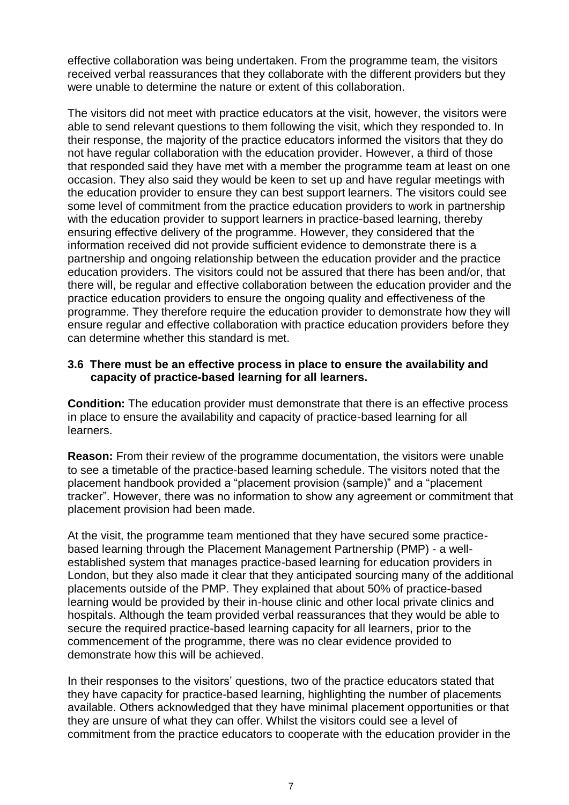effective collaboration was being undertaken. From the programme team, the visitors received verbal reassurances that they collaborate with the different providers but they were unable to determine the nature or extent of this collaboration.

The visitors did not meet with practice educators at the visit, however, the visitors were able to send relevant questions to them following the visit, which they responded to. In their response, the majority of the practice educators informed the visitors that they do not have regular collaboration with the education provider. However, a third of those that responded said they have met with a member the programme team at least on one occasion. They also said they would be keen to set up and have regular meetings with the education provider to ensure they can best support learners. The visitors could see some level of commitment from the practice education providers to work in partnership with the education provider to support learners in practice-based learning, thereby ensuring effective delivery of the programme. However, they considered that the information received did not provide sufficient evidence to demonstrate there is a partnership and ongoing relationship between the education provider and the practice education providers. The visitors could not be assured that there has been and/or, that there will, be regular and effective collaboration between the education provider and the practice education providers to ensure the ongoing quality and effectiveness of the programme. They therefore require the education provider to demonstrate how they will ensure regular and effective collaboration with practice education providers before they can determine whether this standard is met.

### **3.6 There must be an effective process in place to ensure the availability and capacity of practice-based learning for all learners.**

**Condition:** The education provider must demonstrate that there is an effective process in place to ensure the availability and capacity of practice-based learning for all learners.

**Reason:** From their review of the programme documentation, the visitors were unable to see a timetable of the practice-based learning schedule. The visitors noted that the placement handbook provided a "placement provision (sample)" and a "placement tracker". However, there was no information to show any agreement or commitment that placement provision had been made.

At the visit, the programme team mentioned that they have secured some practicebased learning through the Placement Management Partnership (PMP) - a wellestablished system that manages practice-based learning for education providers in London, but they also made it clear that they anticipated sourcing many of the additional placements outside of the PMP. They explained that about 50% of practice-based learning would be provided by their in-house clinic and other local private clinics and hospitals. Although the team provided verbal reassurances that they would be able to secure the required practice-based learning capacity for all learners, prior to the commencement of the programme, there was no clear evidence provided to demonstrate how this will be achieved.

In their responses to the visitors' questions, two of the practice educators stated that they have capacity for practice-based learning, highlighting the number of placements available. Others acknowledged that they have minimal placement opportunities or that they are unsure of what they can offer. Whilst the visitors could see a level of commitment from the practice educators to cooperate with the education provider in the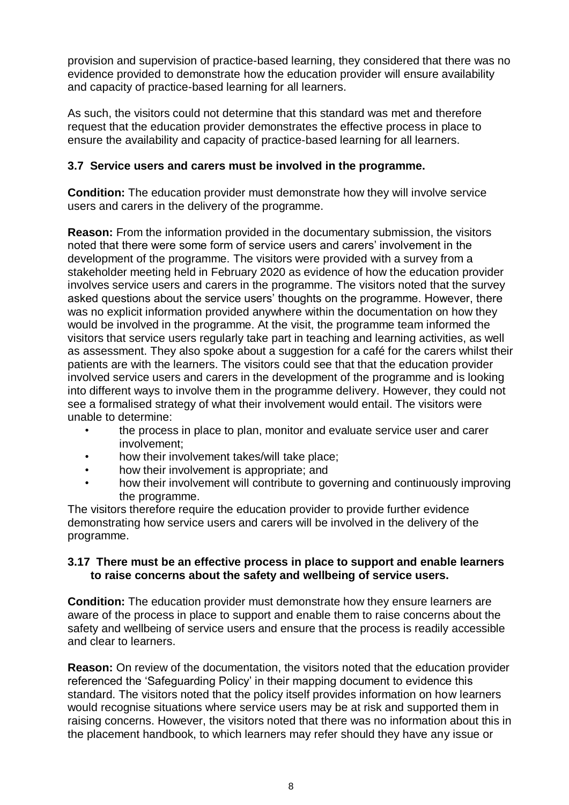provision and supervision of practice-based learning, they considered that there was no evidence provided to demonstrate how the education provider will ensure availability and capacity of practice-based learning for all learners.

As such, the visitors could not determine that this standard was met and therefore request that the education provider demonstrates the effective process in place to ensure the availability and capacity of practice-based learning for all learners.

## **3.7 Service users and carers must be involved in the programme.**

**Condition:** The education provider must demonstrate how they will involve service users and carers in the delivery of the programme.

**Reason:** From the information provided in the documentary submission, the visitors noted that there were some form of service users and carers' involvement in the development of the programme. The visitors were provided with a survey from a stakeholder meeting held in February 2020 as evidence of how the education provider involves service users and carers in the programme. The visitors noted that the survey asked questions about the service users' thoughts on the programme. However, there was no explicit information provided anywhere within the documentation on how they would be involved in the programme. At the visit, the programme team informed the visitors that service users regularly take part in teaching and learning activities, as well as assessment. They also spoke about a suggestion for a café for the carers whilst their patients are with the learners. The visitors could see that that the education provider involved service users and carers in the development of the programme and is looking into different ways to involve them in the programme delivery. However, they could not see a formalised strategy of what their involvement would entail. The visitors were unable to determine:

- the process in place to plan, monitor and evaluate service user and carer involvement;
- how their involvement takes/will take place;
- how their involvement is appropriate; and
- how their involvement will contribute to governing and continuously improving the programme.

The visitors therefore require the education provider to provide further evidence demonstrating how service users and carers will be involved in the delivery of the programme.

### **3.17 There must be an effective process in place to support and enable learners to raise concerns about the safety and wellbeing of service users.**

**Condition:** The education provider must demonstrate how they ensure learners are aware of the process in place to support and enable them to raise concerns about the safety and wellbeing of service users and ensure that the process is readily accessible and clear to learners.

**Reason:** On review of the documentation, the visitors noted that the education provider referenced the 'Safeguarding Policy' in their mapping document to evidence this standard. The visitors noted that the policy itself provides information on how learners would recognise situations where service users may be at risk and supported them in raising concerns. However, the visitors noted that there was no information about this in the placement handbook, to which learners may refer should they have any issue or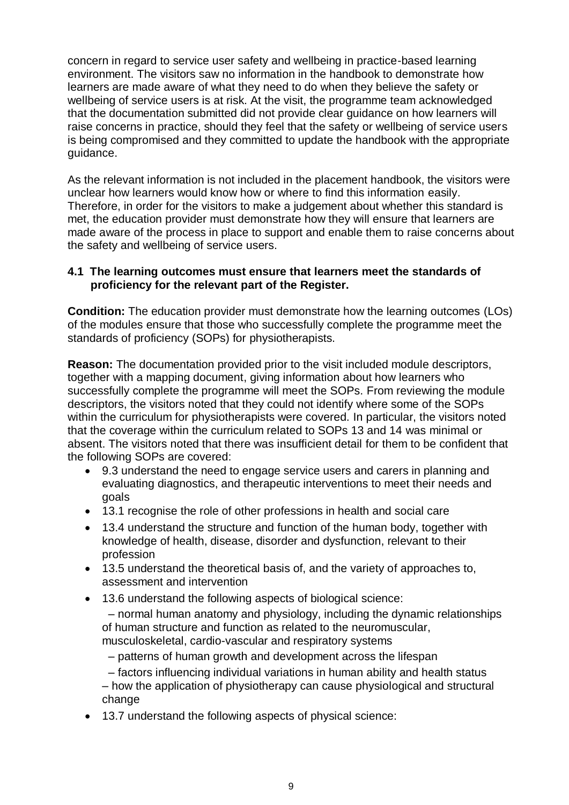concern in regard to service user safety and wellbeing in practice-based learning environment. The visitors saw no information in the handbook to demonstrate how learners are made aware of what they need to do when they believe the safety or wellbeing of service users is at risk. At the visit, the programme team acknowledged that the documentation submitted did not provide clear guidance on how learners will raise concerns in practice, should they feel that the safety or wellbeing of service users is being compromised and they committed to update the handbook with the appropriate guidance.

As the relevant information is not included in the placement handbook, the visitors were unclear how learners would know how or where to find this information easily. Therefore, in order for the visitors to make a judgement about whether this standard is met, the education provider must demonstrate how they will ensure that learners are made aware of the process in place to support and enable them to raise concerns about the safety and wellbeing of service users.

### **4.1 The learning outcomes must ensure that learners meet the standards of proficiency for the relevant part of the Register.**

**Condition:** The education provider must demonstrate how the learning outcomes (LOs) of the modules ensure that those who successfully complete the programme meet the standards of proficiency (SOPs) for physiotherapists.

**Reason:** The documentation provided prior to the visit included module descriptors, together with a mapping document, giving information about how learners who successfully complete the programme will meet the SOPs. From reviewing the module descriptors, the visitors noted that they could not identify where some of the SOPs within the curriculum for physiotherapists were covered. In particular, the visitors noted that the coverage within the curriculum related to SOPs 13 and 14 was minimal or absent. The visitors noted that there was insufficient detail for them to be confident that the following SOPs are covered:

- 9.3 understand the need to engage service users and carers in planning and evaluating diagnostics, and therapeutic interventions to meet their needs and goals
- 13.1 recognise the role of other professions in health and social care
- 13.4 understand the structure and function of the human body, together with knowledge of health, disease, disorder and dysfunction, relevant to their profession
- 13.5 understand the theoretical basis of, and the variety of approaches to, assessment and intervention
- 13.6 understand the following aspects of biological science:

– normal human anatomy and physiology, including the dynamic relationships of human structure and function as related to the neuromuscular, musculoskeletal, cardio-vascular and respiratory systems

– patterns of human growth and development across the lifespan

– factors influencing individual variations in human ability and health status – how the application of physiotherapy can cause physiological and structural change

13.7 understand the following aspects of physical science: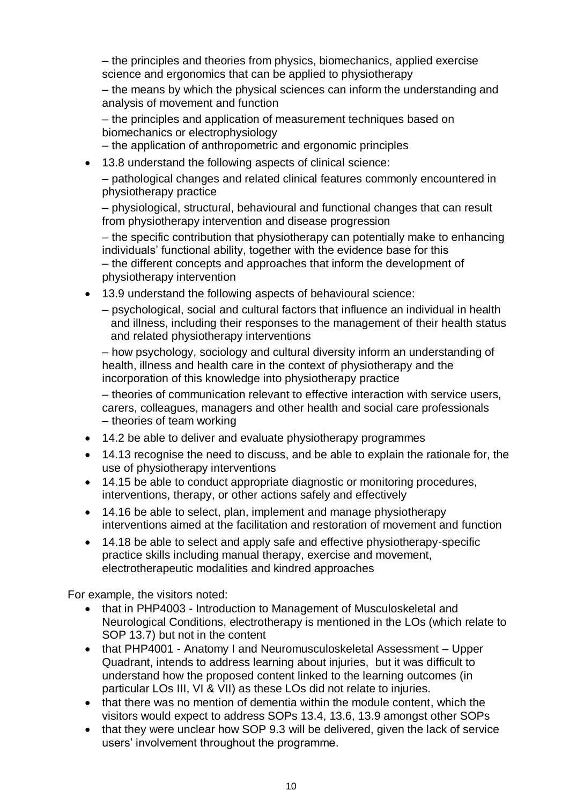– the principles and theories from physics, biomechanics, applied exercise science and ergonomics that can be applied to physiotherapy

– the means by which the physical sciences can inform the understanding and analysis of movement and function

– the principles and application of measurement techniques based on biomechanics or electrophysiology

– the application of anthropometric and ergonomic principles

13.8 understand the following aspects of clinical science:

– pathological changes and related clinical features commonly encountered in physiotherapy practice

– physiological, structural, behavioural and functional changes that can result from physiotherapy intervention and disease progression

– the specific contribution that physiotherapy can potentially make to enhancing individuals' functional ability, together with the evidence base for this – the different concepts and approaches that inform the development of physiotherapy intervention

- 13.9 understand the following aspects of behavioural science:
	- psychological, social and cultural factors that influence an individual in health and illness, including their responses to the management of their health status and related physiotherapy interventions

– how psychology, sociology and cultural diversity inform an understanding of health, illness and health care in the context of physiotherapy and the incorporation of this knowledge into physiotherapy practice

– theories of communication relevant to effective interaction with service users, carers, colleagues, managers and other health and social care professionals – theories of team working

- 14.2 be able to deliver and evaluate physiotherapy programmes
- 14.13 recognise the need to discuss, and be able to explain the rationale for, the use of physiotherapy interventions
- 14.15 be able to conduct appropriate diagnostic or monitoring procedures, interventions, therapy, or other actions safely and effectively
- 14.16 be able to select, plan, implement and manage physiotherapy interventions aimed at the facilitation and restoration of movement and function
- 14.18 be able to select and apply safe and effective physiotherapy-specific practice skills including manual therapy, exercise and movement, electrotherapeutic modalities and kindred approaches

For example, the visitors noted:

- that in PHP4003 Introduction to Management of Musculoskeletal and Neurological Conditions, electrotherapy is mentioned in the LOs (which relate to SOP 13.7) but not in the content
- that PHP4001 Anatomy I and Neuromusculoskeletal Assessment Upper Quadrant, intends to address learning about injuries, but it was difficult to understand how the proposed content linked to the learning outcomes (in particular LOs III, VI & VII) as these LOs did not relate to injuries.
- that there was no mention of dementia within the module content, which the visitors would expect to address SOPs 13.4, 13.6, 13.9 amongst other SOPs
- that they were unclear how SOP 9.3 will be delivered, given the lack of service users' involvement throughout the programme.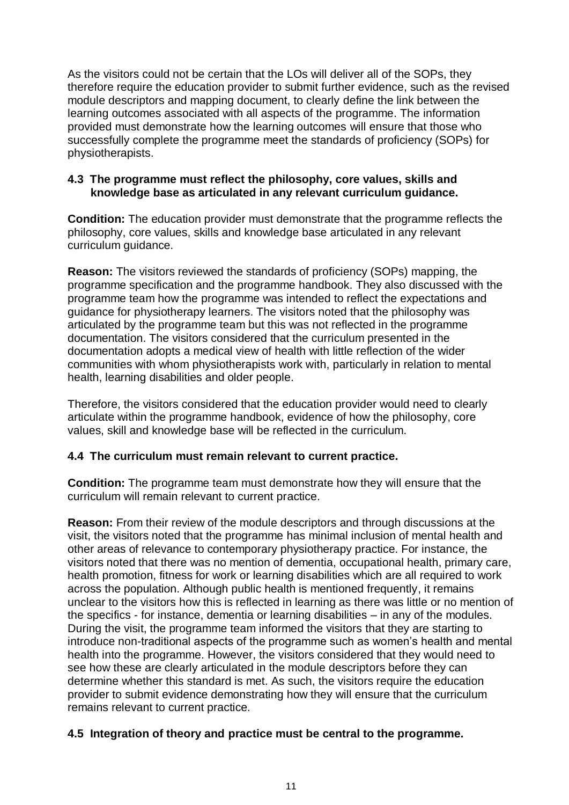As the visitors could not be certain that the LOs will deliver all of the SOPs, they therefore require the education provider to submit further evidence, such as the revised module descriptors and mapping document, to clearly define the link between the learning outcomes associated with all aspects of the programme. The information provided must demonstrate how the learning outcomes will ensure that those who successfully complete the programme meet the standards of proficiency (SOPs) for physiotherapists.

## **4.3 The programme must reflect the philosophy, core values, skills and knowledge base as articulated in any relevant curriculum guidance.**

**Condition:** The education provider must demonstrate that the programme reflects the philosophy, core values, skills and knowledge base articulated in any relevant curriculum guidance.

**Reason:** The visitors reviewed the standards of proficiency (SOPs) mapping, the programme specification and the programme handbook. They also discussed with the programme team how the programme was intended to reflect the expectations and guidance for physiotherapy learners. The visitors noted that the philosophy was articulated by the programme team but this was not reflected in the programme documentation. The visitors considered that the curriculum presented in the documentation adopts a medical view of health with little reflection of the wider communities with whom physiotherapists work with, particularly in relation to mental health, learning disabilities and older people.

Therefore, the visitors considered that the education provider would need to clearly articulate within the programme handbook, evidence of how the philosophy, core values, skill and knowledge base will be reflected in the curriculum.

## **4.4 The curriculum must remain relevant to current practice.**

**Condition:** The programme team must demonstrate how they will ensure that the curriculum will remain relevant to current practice.

**Reason:** From their review of the module descriptors and through discussions at the visit, the visitors noted that the programme has minimal inclusion of mental health and other areas of relevance to contemporary physiotherapy practice. For instance, the visitors noted that there was no mention of dementia, occupational health, primary care, health promotion, fitness for work or learning disabilities which are all required to work across the population. Although public health is mentioned frequently, it remains unclear to the visitors how this is reflected in learning as there was little or no mention of the specifics - for instance, dementia or learning disabilities – in any of the modules. During the visit, the programme team informed the visitors that they are starting to introduce non-traditional aspects of the programme such as women's health and mental health into the programme. However, the visitors considered that they would need to see how these are clearly articulated in the module descriptors before they can determine whether this standard is met. As such, the visitors require the education provider to submit evidence demonstrating how they will ensure that the curriculum remains relevant to current practice.

# **4.5 Integration of theory and practice must be central to the programme.**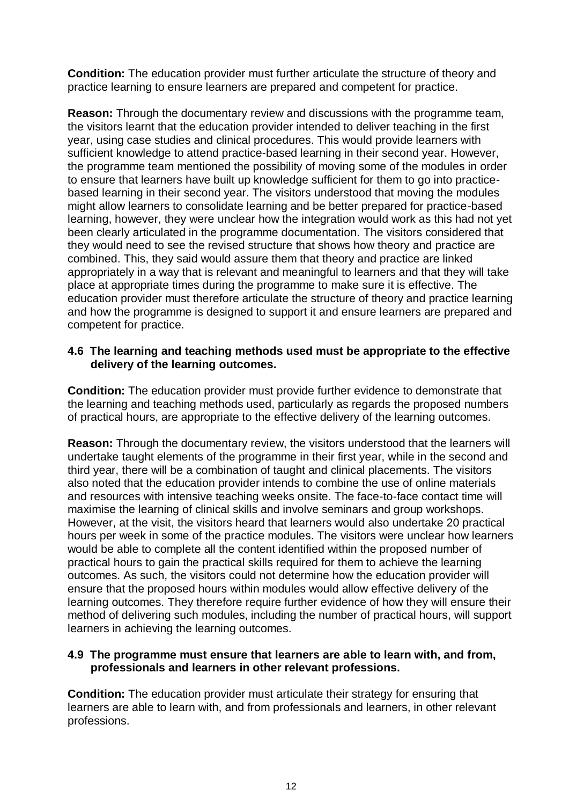**Condition:** The education provider must further articulate the structure of theory and practice learning to ensure learners are prepared and competent for practice.

**Reason:** Through the documentary review and discussions with the programme team, the visitors learnt that the education provider intended to deliver teaching in the first year, using case studies and clinical procedures. This would provide learners with sufficient knowledge to attend practice-based learning in their second year. However, the programme team mentioned the possibility of moving some of the modules in order to ensure that learners have built up knowledge sufficient for them to go into practicebased learning in their second year. The visitors understood that moving the modules might allow learners to consolidate learning and be better prepared for practice-based learning, however, they were unclear how the integration would work as this had not yet been clearly articulated in the programme documentation. The visitors considered that they would need to see the revised structure that shows how theory and practice are combined. This, they said would assure them that theory and practice are linked appropriately in a way that is relevant and meaningful to learners and that they will take place at appropriate times during the programme to make sure it is effective. The education provider must therefore articulate the structure of theory and practice learning and how the programme is designed to support it and ensure learners are prepared and competent for practice.

## **4.6 The learning and teaching methods used must be appropriate to the effective delivery of the learning outcomes.**

**Condition:** The education provider must provide further evidence to demonstrate that the learning and teaching methods used, particularly as regards the proposed numbers of practical hours, are appropriate to the effective delivery of the learning outcomes.

**Reason:** Through the documentary review, the visitors understood that the learners will undertake taught elements of the programme in their first year, while in the second and third year, there will be a combination of taught and clinical placements. The visitors also noted that the education provider intends to combine the use of online materials and resources with intensive teaching weeks onsite. The face-to-face contact time will maximise the learning of clinical skills and involve seminars and group workshops. However, at the visit, the visitors heard that learners would also undertake 20 practical hours per week in some of the practice modules. The visitors were unclear how learners would be able to complete all the content identified within the proposed number of practical hours to gain the practical skills required for them to achieve the learning outcomes. As such, the visitors could not determine how the education provider will ensure that the proposed hours within modules would allow effective delivery of the learning outcomes. They therefore require further evidence of how they will ensure their method of delivering such modules, including the number of practical hours, will support learners in achieving the learning outcomes.

#### **4.9 The programme must ensure that learners are able to learn with, and from, professionals and learners in other relevant professions.**

**Condition:** The education provider must articulate their strategy for ensuring that learners are able to learn with, and from professionals and learners, in other relevant professions.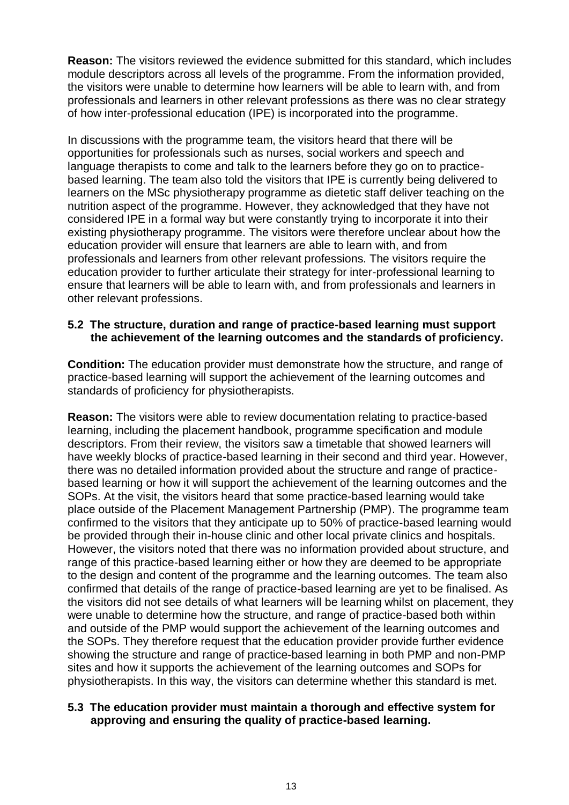**Reason:** The visitors reviewed the evidence submitted for this standard, which includes module descriptors across all levels of the programme. From the information provided, the visitors were unable to determine how learners will be able to learn with, and from professionals and learners in other relevant professions as there was no clear strategy of how inter-professional education (IPE) is incorporated into the programme.

In discussions with the programme team, the visitors heard that there will be opportunities for professionals such as nurses, social workers and speech and language therapists to come and talk to the learners before they go on to practicebased learning. The team also told the visitors that IPE is currently being delivered to learners on the MSc physiotherapy programme as dietetic staff deliver teaching on the nutrition aspect of the programme. However, they acknowledged that they have not considered IPE in a formal way but were constantly trying to incorporate it into their existing physiotherapy programme. The visitors were therefore unclear about how the education provider will ensure that learners are able to learn with, and from professionals and learners from other relevant professions. The visitors require the education provider to further articulate their strategy for inter-professional learning to ensure that learners will be able to learn with, and from professionals and learners in other relevant professions.

### **5.2 The structure, duration and range of practice-based learning must support the achievement of the learning outcomes and the standards of proficiency.**

**Condition:** The education provider must demonstrate how the structure, and range of practice-based learning will support the achievement of the learning outcomes and standards of proficiency for physiotherapists.

**Reason:** The visitors were able to review documentation relating to practice-based learning, including the placement handbook, programme specification and module descriptors. From their review, the visitors saw a timetable that showed learners will have weekly blocks of practice-based learning in their second and third year. However, there was no detailed information provided about the structure and range of practicebased learning or how it will support the achievement of the learning outcomes and the SOPs. At the visit, the visitors heard that some practice-based learning would take place outside of the Placement Management Partnership (PMP). The programme team confirmed to the visitors that they anticipate up to 50% of practice-based learning would be provided through their in-house clinic and other local private clinics and hospitals. However, the visitors noted that there was no information provided about structure, and range of this practice-based learning either or how they are deemed to be appropriate to the design and content of the programme and the learning outcomes. The team also confirmed that details of the range of practice-based learning are yet to be finalised. As the visitors did not see details of what learners will be learning whilst on placement, they were unable to determine how the structure, and range of practice-based both within and outside of the PMP would support the achievement of the learning outcomes and the SOPs. They therefore request that the education provider provide further evidence showing the structure and range of practice-based learning in both PMP and non-PMP sites and how it supports the achievement of the learning outcomes and SOPs for physiotherapists. In this way, the visitors can determine whether this standard is met.

### **5.3 The education provider must maintain a thorough and effective system for approving and ensuring the quality of practice-based learning.**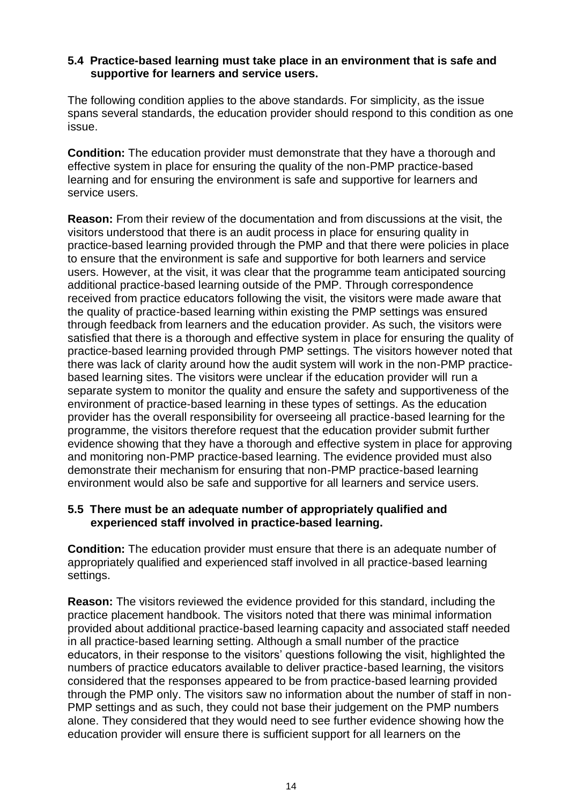### **5.4 Practice-based learning must take place in an environment that is safe and supportive for learners and service users.**

The following condition applies to the above standards. For simplicity, as the issue spans several standards, the education provider should respond to this condition as one issue.

**Condition:** The education provider must demonstrate that they have a thorough and effective system in place for ensuring the quality of the non-PMP practice-based learning and for ensuring the environment is safe and supportive for learners and service users.

**Reason:** From their review of the documentation and from discussions at the visit, the visitors understood that there is an audit process in place for ensuring quality in practice-based learning provided through the PMP and that there were policies in place to ensure that the environment is safe and supportive for both learners and service users. However, at the visit, it was clear that the programme team anticipated sourcing additional practice-based learning outside of the PMP. Through correspondence received from practice educators following the visit, the visitors were made aware that the quality of practice-based learning within existing the PMP settings was ensured through feedback from learners and the education provider. As such, the visitors were satisfied that there is a thorough and effective system in place for ensuring the quality of practice-based learning provided through PMP settings. The visitors however noted that there was lack of clarity around how the audit system will work in the non-PMP practicebased learning sites. The visitors were unclear if the education provider will run a separate system to monitor the quality and ensure the safety and supportiveness of the environment of practice-based learning in these types of settings. As the education provider has the overall responsibility for overseeing all practice-based learning for the programme, the visitors therefore request that the education provider submit further evidence showing that they have a thorough and effective system in place for approving and monitoring non-PMP practice-based learning. The evidence provided must also demonstrate their mechanism for ensuring that non-PMP practice-based learning environment would also be safe and supportive for all learners and service users.

## **5.5 There must be an adequate number of appropriately qualified and experienced staff involved in practice-based learning.**

**Condition:** The education provider must ensure that there is an adequate number of appropriately qualified and experienced staff involved in all practice-based learning settings.

**Reason:** The visitors reviewed the evidence provided for this standard, including the practice placement handbook. The visitors noted that there was minimal information provided about additional practice-based learning capacity and associated staff needed in all practice-based learning setting. Although a small number of the practice educators, in their response to the visitors' questions following the visit, highlighted the numbers of practice educators available to deliver practice-based learning, the visitors considered that the responses appeared to be from practice-based learning provided through the PMP only. The visitors saw no information about the number of staff in non-PMP settings and as such, they could not base their judgement on the PMP numbers alone. They considered that they would need to see further evidence showing how the education provider will ensure there is sufficient support for all learners on the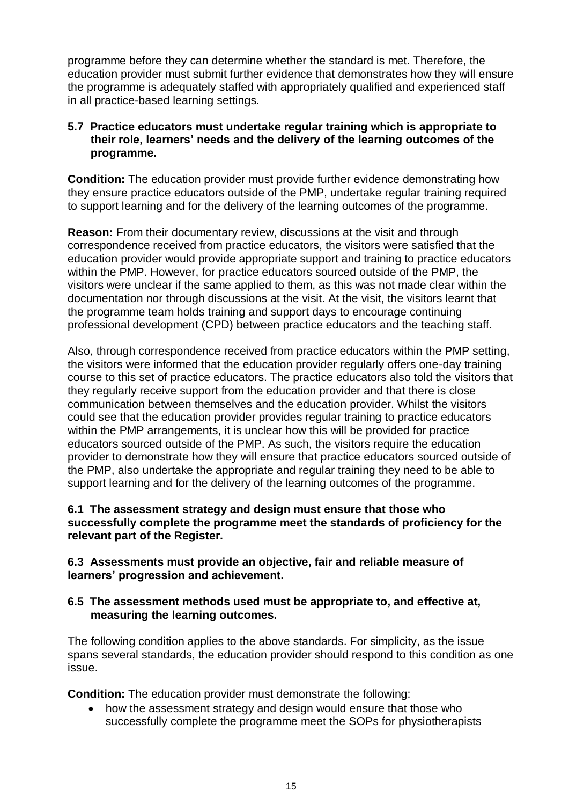programme before they can determine whether the standard is met. Therefore, the education provider must submit further evidence that demonstrates how they will ensure the programme is adequately staffed with appropriately qualified and experienced staff in all practice-based learning settings.

## **5.7 Practice educators must undertake regular training which is appropriate to their role, learners' needs and the delivery of the learning outcomes of the programme.**

**Condition:** The education provider must provide further evidence demonstrating how they ensure practice educators outside of the PMP, undertake regular training required to support learning and for the delivery of the learning outcomes of the programme.

**Reason:** From their documentary review, discussions at the visit and through correspondence received from practice educators, the visitors were satisfied that the education provider would provide appropriate support and training to practice educators within the PMP. However, for practice educators sourced outside of the PMP, the visitors were unclear if the same applied to them, as this was not made clear within the documentation nor through discussions at the visit. At the visit, the visitors learnt that the programme team holds training and support days to encourage continuing professional development (CPD) between practice educators and the teaching staff.

Also, through correspondence received from practice educators within the PMP setting, the visitors were informed that the education provider regularly offers one-day training course to this set of practice educators. The practice educators also told the visitors that they regularly receive support from the education provider and that there is close communication between themselves and the education provider. Whilst the visitors could see that the education provider provides regular training to practice educators within the PMP arrangements, it is unclear how this will be provided for practice educators sourced outside of the PMP. As such, the visitors require the education provider to demonstrate how they will ensure that practice educators sourced outside of the PMP, also undertake the appropriate and regular training they need to be able to support learning and for the delivery of the learning outcomes of the programme.

### **6.1 The assessment strategy and design must ensure that those who successfully complete the programme meet the standards of proficiency for the relevant part of the Register.**

## **6.3 Assessments must provide an objective, fair and reliable measure of learners' progression and achievement.**

### **6.5 The assessment methods used must be appropriate to, and effective at, measuring the learning outcomes.**

The following condition applies to the above standards. For simplicity, as the issue spans several standards, the education provider should respond to this condition as one issue.

**Condition:** The education provider must demonstrate the following:

 how the assessment strategy and design would ensure that those who successfully complete the programme meet the SOPs for physiotherapists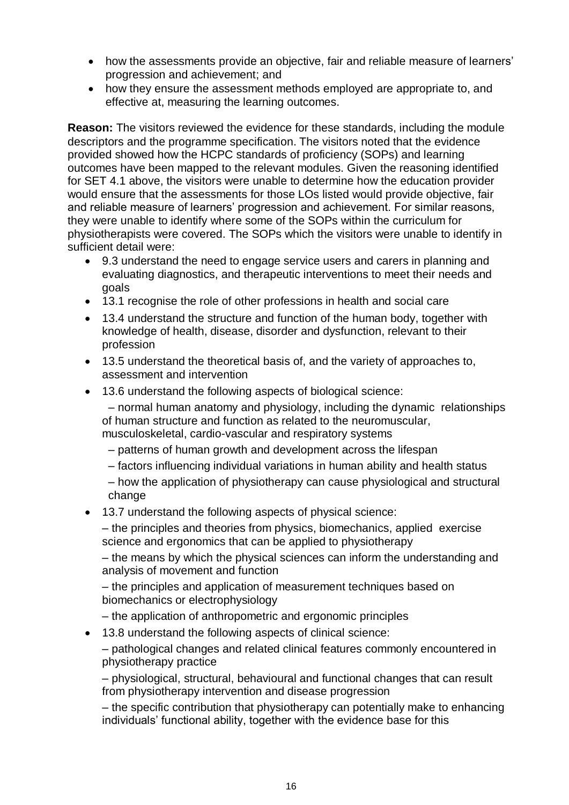- how the assessments provide an objective, fair and reliable measure of learners' progression and achievement; and
- how they ensure the assessment methods employed are appropriate to, and effective at, measuring the learning outcomes.

**Reason:** The visitors reviewed the evidence for these standards, including the module descriptors and the programme specification. The visitors noted that the evidence provided showed how the HCPC standards of proficiency (SOPs) and learning outcomes have been mapped to the relevant modules. Given the reasoning identified for SET 4.1 above, the visitors were unable to determine how the education provider would ensure that the assessments for those LOs listed would provide objective, fair and reliable measure of learners' progression and achievement. For similar reasons, they were unable to identify where some of the SOPs within the curriculum for physiotherapists were covered. The SOPs which the visitors were unable to identify in sufficient detail were:

- 9.3 understand the need to engage service users and carers in planning and evaluating diagnostics, and therapeutic interventions to meet their needs and goals
- 13.1 recognise the role of other professions in health and social care
- 13.4 understand the structure and function of the human body, together with knowledge of health, disease, disorder and dysfunction, relevant to their profession
- 13.5 understand the theoretical basis of, and the variety of approaches to, assessment and intervention
- 13.6 understand the following aspects of biological science:

– normal human anatomy and physiology, including the dynamic relationships of human structure and function as related to the neuromuscular, musculoskeletal, cardio-vascular and respiratory systems

- patterns of human growth and development across the lifespan
- factors influencing individual variations in human ability and health status

– how the application of physiotherapy can cause physiological and structural change

13.7 understand the following aspects of physical science:

– the principles and theories from physics, biomechanics, applied exercise science and ergonomics that can be applied to physiotherapy

– the means by which the physical sciences can inform the understanding and analysis of movement and function

– the principles and application of measurement techniques based on biomechanics or electrophysiology

- the application of anthropometric and ergonomic principles
- 13.8 understand the following aspects of clinical science:

– pathological changes and related clinical features commonly encountered in physiotherapy practice

– physiological, structural, behavioural and functional changes that can result from physiotherapy intervention and disease progression

– the specific contribution that physiotherapy can potentially make to enhancing individuals' functional ability, together with the evidence base for this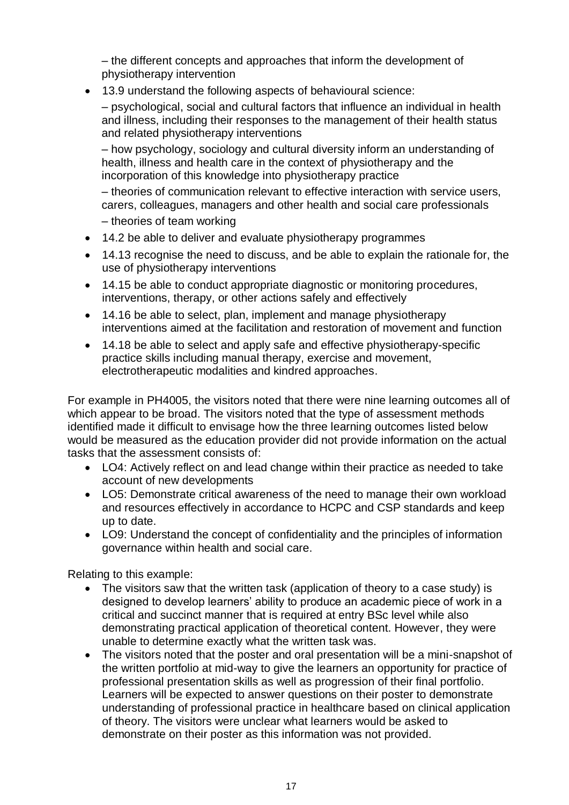– the different concepts and approaches that inform the development of physiotherapy intervention

13.9 understand the following aspects of behavioural science:

– psychological, social and cultural factors that influence an individual in health and illness, including their responses to the management of their health status and related physiotherapy interventions

– how psychology, sociology and cultural diversity inform an understanding of health, illness and health care in the context of physiotherapy and the incorporation of this knowledge into physiotherapy practice

– theories of communication relevant to effective interaction with service users, carers, colleagues, managers and other health and social care professionals

- theories of team working
- 14.2 be able to deliver and evaluate physiotherapy programmes
- 14.13 recognise the need to discuss, and be able to explain the rationale for, the use of physiotherapy interventions
- 14.15 be able to conduct appropriate diagnostic or monitoring procedures, interventions, therapy, or other actions safely and effectively
- 14.16 be able to select, plan, implement and manage physiotherapy interventions aimed at the facilitation and restoration of movement and function
- 14.18 be able to select and apply safe and effective physiotherapy-specific practice skills including manual therapy, exercise and movement, electrotherapeutic modalities and kindred approaches.

For example in PH4005, the visitors noted that there were nine learning outcomes all of which appear to be broad. The visitors noted that the type of assessment methods identified made it difficult to envisage how the three learning outcomes listed below would be measured as the education provider did not provide information on the actual tasks that the assessment consists of:

- LO4: Actively reflect on and lead change within their practice as needed to take account of new developments
- LO5: Demonstrate critical awareness of the need to manage their own workload and resources effectively in accordance to HCPC and CSP standards and keep up to date.
- LO9: Understand the concept of confidentiality and the principles of information governance within health and social care.

Relating to this example:

- The visitors saw that the written task (application of theory to a case study) is designed to develop learners' ability to produce an academic piece of work in a critical and succinct manner that is required at entry BSc level while also demonstrating practical application of theoretical content. However, they were unable to determine exactly what the written task was.
- The visitors noted that the poster and oral presentation will be a mini-snapshot of the written portfolio at mid-way to give the learners an opportunity for practice of professional presentation skills as well as progression of their final portfolio. Learners will be expected to answer questions on their poster to demonstrate understanding of professional practice in healthcare based on clinical application of theory. The visitors were unclear what learners would be asked to demonstrate on their poster as this information was not provided.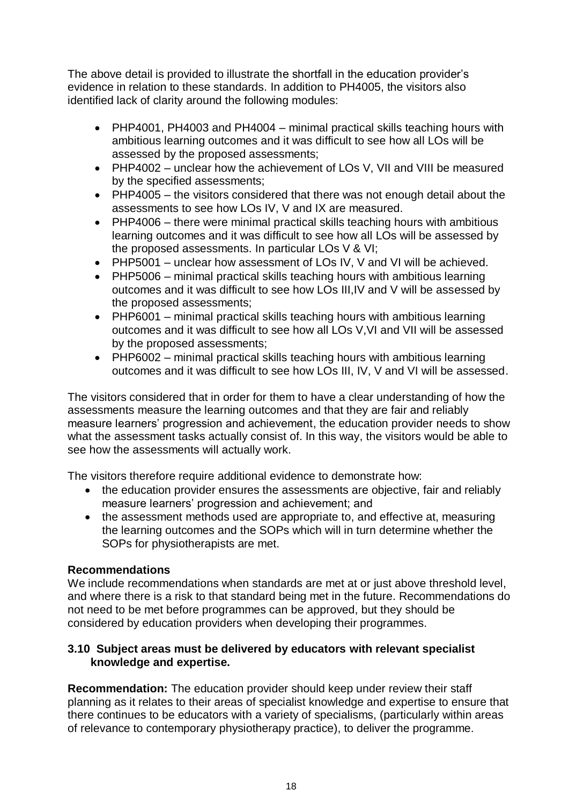The above detail is provided to illustrate the shortfall in the education provider's evidence in relation to these standards. In addition to PH4005, the visitors also identified lack of clarity around the following modules:

- PHP4001, PH4003 and PH4004 minimal practical skills teaching hours with ambitious learning outcomes and it was difficult to see how all LOs will be assessed by the proposed assessments;
- PHP4002 unclear how the achievement of LOs V, VII and VIII be measured by the specified assessments;
- PHP4005 the visitors considered that there was not enough detail about the assessments to see how LOs IV, V and IX are measured.
- PHP4006 there were minimal practical skills teaching hours with ambitious learning outcomes and it was difficult to see how all LOs will be assessed by the proposed assessments. In particular LOs V & VI;
- PHP5001 unclear how assessment of LOs IV, V and VI will be achieved.
- PHP5006 minimal practical skills teaching hours with ambitious learning outcomes and it was difficult to see how LOs III,IV and V will be assessed by the proposed assessments;
- PHP6001 minimal practical skills teaching hours with ambitious learning outcomes and it was difficult to see how all LOs V,VI and VII will be assessed by the proposed assessments;
- PHP6002 minimal practical skills teaching hours with ambitious learning outcomes and it was difficult to see how LOs III, IV, V and VI will be assessed.

The visitors considered that in order for them to have a clear understanding of how the assessments measure the learning outcomes and that they are fair and reliably measure learners' progression and achievement, the education provider needs to show what the assessment tasks actually consist of. In this way, the visitors would be able to see how the assessments will actually work.

The visitors therefore require additional evidence to demonstrate how:

- the education provider ensures the assessments are objective, fair and reliably measure learners' progression and achievement; and
- the assessment methods used are appropriate to, and effective at, measuring the learning outcomes and the SOPs which will in turn determine whether the SOPs for physiotherapists are met.

## **Recommendations**

We include recommendations when standards are met at or just above threshold level, and where there is a risk to that standard being met in the future. Recommendations do not need to be met before programmes can be approved, but they should be considered by education providers when developing their programmes.

## **3.10 Subject areas must be delivered by educators with relevant specialist knowledge and expertise.**

**Recommendation:** The education provider should keep under review their staff planning as it relates to their areas of specialist knowledge and expertise to ensure that there continues to be educators with a variety of specialisms, (particularly within areas of relevance to contemporary physiotherapy practice), to deliver the programme.